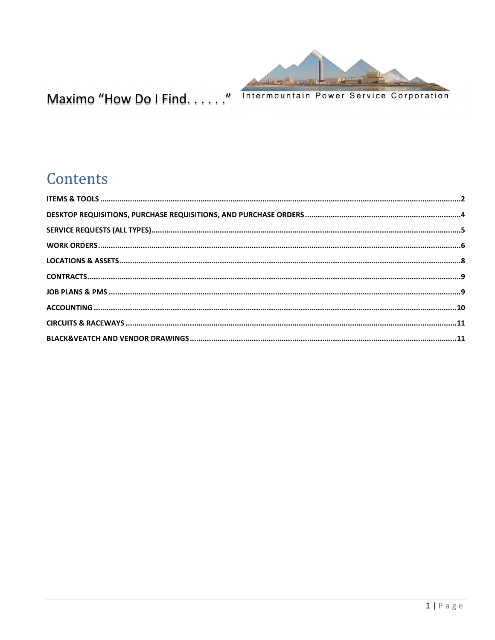

# Maximo "How Do I Find. . . . . . " Intermountain Power Service Corporation

# Contents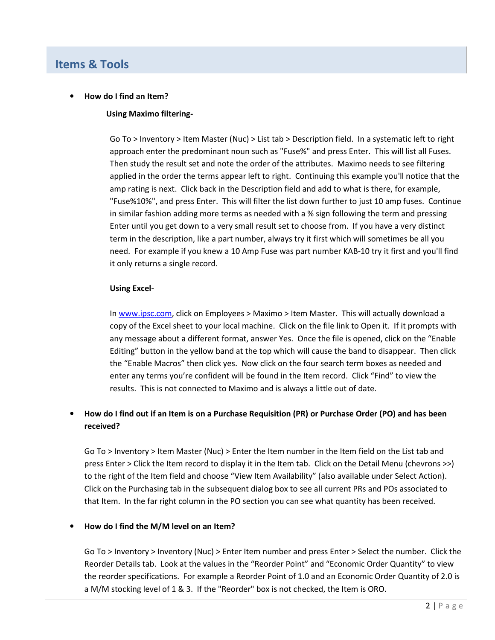# **Items & Tools**

#### • **How do I find an Item?**

### **Using Maximo filtering-**

Go To > Inventory > Item Master (Nuc) > List tab > Description field. In a systematic left to right approach enter the predominant noun such as "Fuse%" and press Enter. This will list all Fuses. Then study the result set and note the order of the attributes. Maximo needs to see filtering applied in the order the terms appear left to right. Continuing this example you'll notice that the amp rating is next. Click back in the Description field and add to what is there, for example, "Fuse%10%", and press Enter. This will filter the list down further to just 10 amp fuses. Continue in similar fashion adding more terms as needed with a % sign following the term and pressing Enter until you get down to a very small result set to choose from. If you have a very distinct term in the description, like a part number, always try it first which will sometimes be all you need. For example if you knew a 10 Amp Fuse was part number KAB-10 try it first and you'll find it only returns a single record.

### **Using Excel-**

In www.ipsc.com, click on Employees > Maximo > Item Master. This will actually download a copy of the Excel sheet to your local machine. Click on the file link to Open it. If it prompts with any message about a different format, answer Yes. Once the file is opened, click on the "Enable Editing" button in the yellow band at the top which will cause the band to disappear. Then click the "Enable Macros" then click yes. Now click on the four search term boxes as needed and enter any terms you're confident will be found in the Item record. Click "Find" to view the results. This is not connected to Maximo and is always a little out of date.

# • **How do I find out if an Item is on a Purchase Requisition (PR) or Purchase Order (PO) and has been received?**

Go To > Inventory > Item Master (Nuc) > Enter the Item number in the Item field on the List tab and press Enter > Click the Item record to display it in the Item tab. Click on the Detail Menu (chevrons >>) to the right of the Item field and choose "View Item Availability" (also available under Select Action). Click on the Purchasing tab in the subsequent dialog box to see all current PRs and POs associated to that Item. In the far right column in the PO section you can see what quantity has been received.

#### • **How do I find the M/M level on an Item?**

Go To > Inventory > Inventory (Nuc) > Enter Item number and press Enter > Select the number. Click the Reorder Details tab. Look at the values in the "Reorder Point" and "Economic Order Quantity" to view the reorder specifications. For example a Reorder Point of 1.0 and an Economic Order Quantity of 2.0 is a M/M stocking level of 1 & 3. If the "Reorder" box is not checked, the Item is ORO.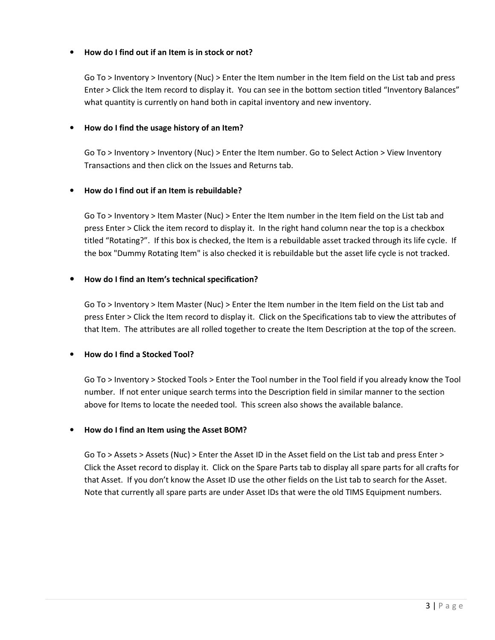# • **How do I find out if an Item is in stock or not?**

Go To > Inventory > Inventory (Nuc) > Enter the Item number in the Item field on the List tab and press Enter > Click the Item record to display it. You can see in the bottom section titled "Inventory Balances" what quantity is currently on hand both in capital inventory and new inventory.

#### • **How do I find the usage history of an Item?**

Go To > Inventory > Inventory (Nuc) > Enter the Item number. Go to Select Action > View Inventory Transactions and then click on the Issues and Returns tab.

### • **How do I find out if an Item is rebuildable?**

Go To > Inventory > Item Master (Nuc) > Enter the Item number in the Item field on the List tab and press Enter > Click the item record to display it. In the right hand column near the top is a checkbox titled "Rotating?". If this box is checked, the Item is a rebuildable asset tracked through its life cycle. If the box "Dummy Rotating Item" is also checked it is rebuildable but the asset life cycle is not tracked.

# • **How do I find an Item's technical specification?**

Go To > Inventory > Item Master (Nuc) > Enter the Item number in the Item field on the List tab and press Enter > Click the Item record to display it. Click on the Specifications tab to view the attributes of that Item. The attributes are all rolled together to create the Item Description at the top of the screen.

#### • **How do I find a Stocked Tool?**

Go To > Inventory > Stocked Tools > Enter the Tool number in the Tool field if you already know the Tool number. If not enter unique search terms into the Description field in similar manner to the section above for Items to locate the needed tool. This screen also shows the available balance.

#### • **How do I find an Item using the Asset BOM?**

Go To > Assets > Assets (Nuc) > Enter the Asset ID in the Asset field on the List tab and press Enter > Click the Asset record to display it. Click on the Spare Parts tab to display all spare parts for all crafts for that Asset. If you don't know the Asset ID use the other fields on the List tab to search for the Asset. Note that currently all spare parts are under Asset IDs that were the old TIMS Equipment numbers.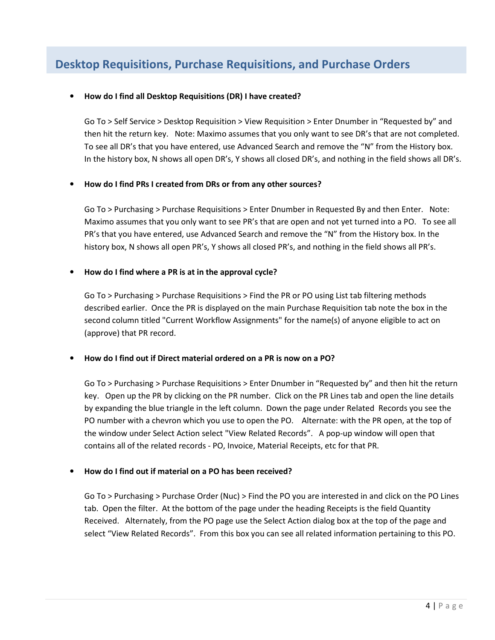# **Desktop Requisitions, Purchase Requisitions, and Purchase Orders**

# • **How do I find all Desktop Requisitions (DR) I have created?**

Go To > Self Service > Desktop Requisition > View Requisition > Enter Dnumber in "Requested by" and then hit the return key. Note: Maximo assumes that you only want to see DR's that are not completed. To see all DR's that you have entered, use Advanced Search and remove the "N" from the History box. In the history box, N shows all open DR's, Y shows all closed DR's, and nothing in the field shows all DR's.

### • **How do I find PRs I created from DRs or from any other sources?**

Go To > Purchasing > Purchase Requisitions > Enter Dnumber in Requested By and then Enter. Note: Maximo assumes that you only want to see PR's that are open and not yet turned into a PO. To see all PR's that you have entered, use Advanced Search and remove the "N" from the History box. In the history box, N shows all open PR's, Y shows all closed PR's, and nothing in the field shows all PR's.

### • **How do I find where a PR is at in the approval cycle?**

Go To > Purchasing > Purchase Requisitions > Find the PR or PO using List tab filtering methods described earlier. Once the PR is displayed on the main Purchase Requisition tab note the box in the second column titled "Current Workflow Assignments" for the name(s) of anyone eligible to act on (approve) that PR record.

# • **How do I find out if Direct material ordered on a PR is now on a PO?**

Go To > Purchasing > Purchase Requisitions > Enter Dnumber in "Requested by" and then hit the return key. Open up the PR by clicking on the PR number. Click on the PR Lines tab and open the line details by expanding the blue triangle in the left column. Down the page under Related Records you see the PO number with a chevron which you use to open the PO. Alternate: with the PR open, at the top of the window under Select Action select "View Related Records". A pop-up window will open that contains all of the related records - PO, Invoice, Material Receipts, etc for that PR.

# • **How do I find out if material on a PO has been received?**

Go To > Purchasing > Purchase Order (Nuc) > Find the PO you are interested in and click on the PO Lines tab. Open the filter. At the bottom of the page under the heading Receipts is the field Quantity Received. Alternately, from the PO page use the Select Action dialog box at the top of the page and select "View Related Records". From this box you can see all related information pertaining to this PO.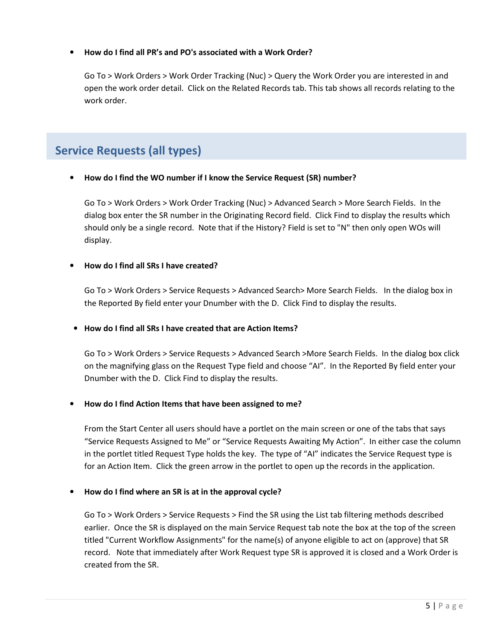# • **How do I find all PR's and PO's associated with a Work Order?**

Go To > Work Orders > Work Order Tracking (Nuc) > Query the Work Order you are interested in and open the work order detail. Click on the Related Records tab. This tab shows all records relating to the work order.

# **Service Requests (all types)**

### • **How do I find the WO number if I know the Service Request (SR) number?**

Go To > Work Orders > Work Order Tracking (Nuc) > Advanced Search > More Search Fields. In the dialog box enter the SR number in the Originating Record field. Click Find to display the results which should only be a single record. Note that if the History? Field is set to "N" then only open WOs will display.

### • **How do I find all SRs I have created?**

Go To > Work Orders > Service Requests > Advanced Search> More Search Fields. In the dialog box in the Reported By field enter your Dnumber with the D. Click Find to display the results.

# • **How do I find all SRs I have created that are Action Items?**

Go To > Work Orders > Service Requests > Advanced Search >More Search Fields. In the dialog box click on the magnifying glass on the Request Type field and choose "AI". In the Reported By field enter your Dnumber with the D. Click Find to display the results.

#### • **How do I find Action Items that have been assigned to me?**

From the Start Center all users should have a portlet on the main screen or one of the tabs that says "Service Requests Assigned to Me" or "Service Requests Awaiting My Action". In either case the column in the portlet titled Request Type holds the key. The type of "AI" indicates the Service Request type is for an Action Item. Click the green arrow in the portlet to open up the records in the application.

# • **How do I find where an SR is at in the approval cycle?**

Go To > Work Orders > Service Requests > Find the SR using the List tab filtering methods described earlier. Once the SR is displayed on the main Service Request tab note the box at the top of the screen titled "Current Workflow Assignments" for the name(s) of anyone eligible to act on (approve) that SR record. Note that immediately after Work Request type SR is approved it is closed and a Work Order is created from the SR.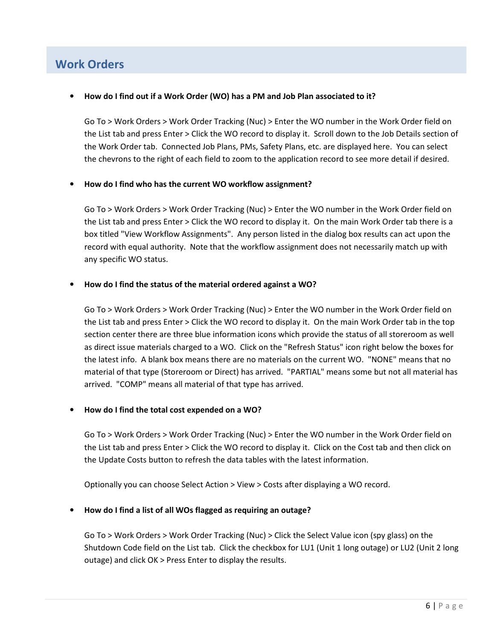# **Work Orders**

### • **How do I find out if a Work Order (WO) has a PM and Job Plan associated to it?**

Go To > Work Orders > Work Order Tracking (Nuc) > Enter the WO number in the Work Order field on the List tab and press Enter > Click the WO record to display it. Scroll down to the Job Details section of the Work Order tab. Connected Job Plans, PMs, Safety Plans, etc. are displayed here. You can select the chevrons to the right of each field to zoom to the application record to see more detail if desired.

# • **How do I find who has the current WO workflow assignment?**

Go To > Work Orders > Work Order Tracking (Nuc) > Enter the WO number in the Work Order field on the List tab and press Enter > Click the WO record to display it. On the main Work Order tab there is a box titled "View Workflow Assignments". Any person listed in the dialog box results can act upon the record with equal authority. Note that the workflow assignment does not necessarily match up with any specific WO status.

### • **How do I find the status of the material ordered against a WO?**

Go To > Work Orders > Work Order Tracking (Nuc) > Enter the WO number in the Work Order field on the List tab and press Enter > Click the WO record to display it. On the main Work Order tab in the top section center there are three blue information icons which provide the status of all storeroom as well as direct issue materials charged to a WO. Click on the "Refresh Status" icon right below the boxes for the latest info. A blank box means there are no materials on the current WO. "NONE" means that no material of that type (Storeroom or Direct) has arrived. "PARTIAL" means some but not all material has arrived. "COMP" means all material of that type has arrived.

# • **How do I find the total cost expended on a WO?**

Go To > Work Orders > Work Order Tracking (Nuc) > Enter the WO number in the Work Order field on the List tab and press Enter > Click the WO record to display it. Click on the Cost tab and then click on the Update Costs button to refresh the data tables with the latest information.

Optionally you can choose Select Action > View > Costs after displaying a WO record.

#### • **How do I find a list of all WOs flagged as requiring an outage?**

Go To > Work Orders > Work Order Tracking (Nuc) > Click the Select Value icon (spy glass) on the Shutdown Code field on the List tab. Click the checkbox for LU1 (Unit 1 long outage) or LU2 (Unit 2 long outage) and click OK > Press Enter to display the results.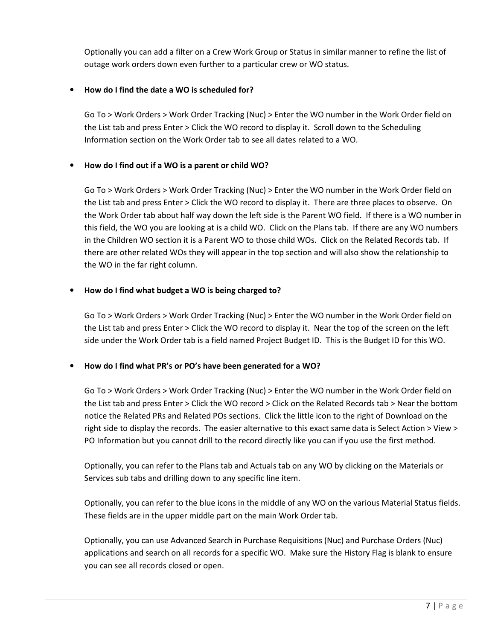Optionally you can add a filter on a Crew Work Group or Status in similar manner to refine the list of outage work orders down even further to a particular crew or WO status.

# • **How do I find the date a WO is scheduled for?**

Go To > Work Orders > Work Order Tracking (Nuc) > Enter the WO number in the Work Order field on the List tab and press Enter > Click the WO record to display it. Scroll down to the Scheduling Information section on the Work Order tab to see all dates related to a WO.

# • **How do I find out if a WO is a parent or child WO?**

Go To > Work Orders > Work Order Tracking (Nuc) > Enter the WO number in the Work Order field on the List tab and press Enter > Click the WO record to display it. There are three places to observe. On the Work Order tab about half way down the left side is the Parent WO field. If there is a WO number in this field, the WO you are looking at is a child WO. Click on the Plans tab. If there are any WO numbers in the Children WO section it is a Parent WO to those child WOs. Click on the Related Records tab. If there are other related WOs they will appear in the top section and will also show the relationship to the WO in the far right column.

# • **How do I find what budget a WO is being charged to?**

Go To > Work Orders > Work Order Tracking (Nuc) > Enter the WO number in the Work Order field on the List tab and press Enter > Click the WO record to display it. Near the top of the screen on the left side under the Work Order tab is a field named Project Budget ID. This is the Budget ID for this WO.

# • **How do I find what PR's or PO's have been generated for a WO?**

Go To > Work Orders > Work Order Tracking (Nuc) > Enter the WO number in the Work Order field on the List tab and press Enter > Click the WO record > Click on the Related Records tab > Near the bottom notice the Related PRs and Related POs sections. Click the little icon to the right of Download on the right side to display the records. The easier alternative to this exact same data is Select Action > View > PO Information but you cannot drill to the record directly like you can if you use the first method.

Optionally, you can refer to the Plans tab and Actuals tab on any WO by clicking on the Materials or Services sub tabs and drilling down to any specific line item.

Optionally, you can refer to the blue icons in the middle of any WO on the various Material Status fields. These fields are in the upper middle part on the main Work Order tab.

Optionally, you can use Advanced Search in Purchase Requisitions (Nuc) and Purchase Orders (Nuc) applications and search on all records for a specific WO. Make sure the History Flag is blank to ensure you can see all records closed or open.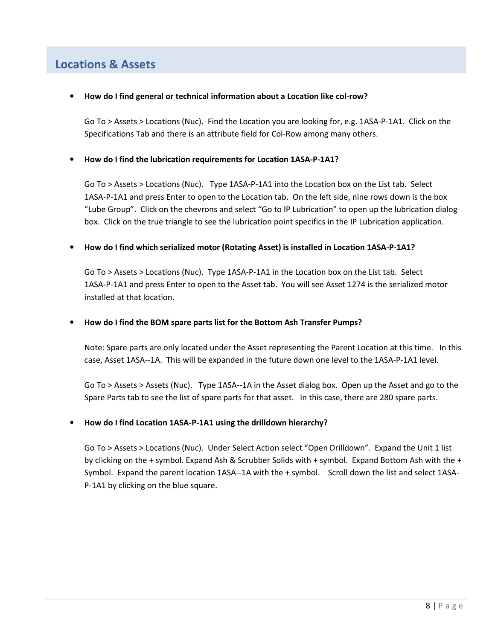# **Locations & Assets**

• **How do I find general or technical information about a Location like col-row?** 

Go To > Assets > Locations (Nuc). Find the Location you are looking for, e.g. 1ASA-P-1A1. Click on the Specifications Tab and there is an attribute field for Col-Row among many others.

# • **How do I find the lubrication requirements for Location 1ASA-P-1A1?**

Go To > Assets > Locations (Nuc). Type 1ASA-P-1A1 into the Location box on the List tab. Select 1ASA-P-1A1 and press Enter to open to the Location tab. On the left side, nine rows down is the box "Lube Group". Click on the chevrons and select "Go to IP Lubrication" to open up the lubrication dialog box. Click on the true triangle to see the lubrication point specifics in the IP Lubrication application.

### • **How do I find which serialized motor (Rotating Asset) is installed in Location 1ASA-P-1A1?**

Go To > Assets > Locations (Nuc). Type 1ASA-P-1A1 in the Location box on the List tab. Select 1ASA-P-1A1 and press Enter to open to the Asset tab. You will see Asset 1274 is the serialized motor installed at that location.

# • **How do I find the BOM spare parts list for the Bottom Ash Transfer Pumps?**

Note: Spare parts are only located under the Asset representing the Parent Location at this time. In this case, Asset 1ASA--1A. This will be expanded in the future down one level to the 1ASA-P-1A1 level.

Go To > Assets > Assets (Nuc). Type 1ASA--1A in the Asset dialog box. Open up the Asset and go to the Spare Parts tab to see the list of spare parts for that asset. In this case, there are 280 spare parts.

# • **How do I find Location 1ASA-P-1A1 using the drilldown hierarchy?**

Go To > Assets > Locations (Nuc). Under Select Action select "Open Drilldown". Expand the Unit 1 list by clicking on the + symbol. Expand Ash & Scrubber Solids with + symbol. Expand Bottom Ash with the + Symbol. Expand the parent location 1ASA--1A with the + symbol. Scroll down the list and select 1ASA-P-1A1 by clicking on the blue square.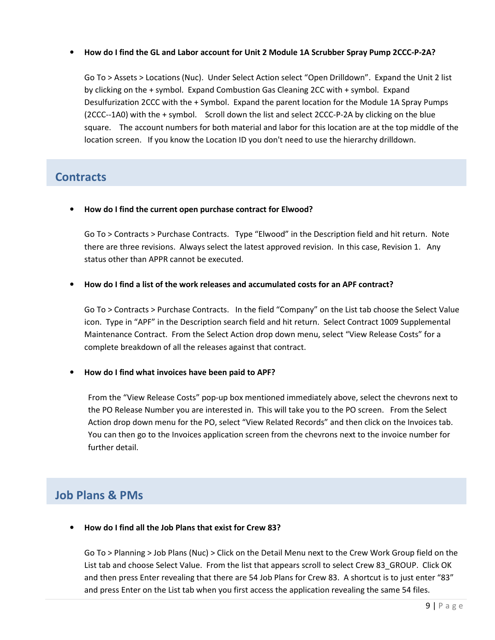# • **How do I find the GL and Labor account for Unit 2 Module 1A Scrubber Spray Pump 2CCC-P-2A?**

Go To > Assets > Locations (Nuc). Under Select Action select "Open Drilldown". Expand the Unit 2 list by clicking on the + symbol. Expand Combustion Gas Cleaning 2CC with + symbol. Expand Desulfurization 2CCC with the + Symbol. Expand the parent location for the Module 1A Spray Pumps (2CCC--1A0) with the + symbol. Scroll down the list and select 2CCC-P-2A by clicking on the blue square. The account numbers for both material and labor for this location are at the top middle of the location screen. If you know the Location ID you don't need to use the hierarchy drilldown.

# **Contracts**

• **How do I find the current open purchase contract for Elwood?** 

Go To > Contracts > Purchase Contracts. Type "Elwood" in the Description field and hit return. Note there are three revisions. Always select the latest approved revision. In this case, Revision 1. Any status other than APPR cannot be executed.

### • **How do I find a list of the work releases and accumulated costs for an APF contract?**

Go To > Contracts > Purchase Contracts. In the field "Company" on the List tab choose the Select Value icon. Type in "APF" in the Description search field and hit return. Select Contract 1009 Supplemental Maintenance Contract. From the Select Action drop down menu, select "View Release Costs" for a complete breakdown of all the releases against that contract.

#### • **How do I find what invoices have been paid to APF?**

From the "View Release Costs" pop-up box mentioned immediately above, select the chevrons next to the PO Release Number you are interested in. This will take you to the PO screen. From the Select Action drop down menu for the PO, select "View Related Records" and then click on the Invoices tab. You can then go to the Invoices application screen from the chevrons next to the invoice number for further detail.

# **Job Plans & PMs**

• **How do I find all the Job Plans that exist for Crew 83?** 

Go To > Planning > Job Plans (Nuc) > Click on the Detail Menu next to the Crew Work Group field on the List tab and choose Select Value. From the list that appears scroll to select Crew 83\_GROUP. Click OK and then press Enter revealing that there are 54 Job Plans for Crew 83. A shortcut is to just enter "83" and press Enter on the List tab when you first access the application revealing the same 54 files.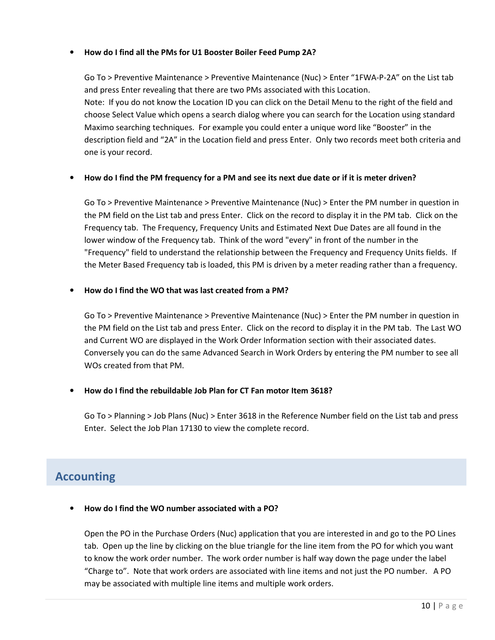# • **How do I find all the PMs for U1 Booster Boiler Feed Pump 2A?**

Go To > Preventive Maintenance > Preventive Maintenance (Nuc) > Enter "1FWA-P-2A" on the List tab and press Enter revealing that there are two PMs associated with this Location. Note: If you do not know the Location ID you can click on the Detail Menu to the right of the field and choose Select Value which opens a search dialog where you can search for the Location using standard Maximo searching techniques. For example you could enter a unique word like "Booster" in the description field and "2A" in the Location field and press Enter. Only two records meet both criteria and one is your record.

### • **How do I find the PM frequency for a PM and see its next due date or if it is meter driven?**

Go To > Preventive Maintenance > Preventive Maintenance (Nuc) > Enter the PM number in question in the PM field on the List tab and press Enter. Click on the record to display it in the PM tab. Click on the Frequency tab. The Frequency, Frequency Units and Estimated Next Due Dates are all found in the lower window of the Frequency tab. Think of the word "every" in front of the number in the "Frequency" field to understand the relationship between the Frequency and Frequency Units fields. If the Meter Based Frequency tab is loaded, this PM is driven by a meter reading rather than a frequency.

### • **How do I find the WO that was last created from a PM?**

Go To > Preventive Maintenance > Preventive Maintenance (Nuc) > Enter the PM number in question in the PM field on the List tab and press Enter. Click on the record to display it in the PM tab. The Last WO and Current WO are displayed in the Work Order Information section with their associated dates. Conversely you can do the same Advanced Search in Work Orders by entering the PM number to see all WOs created from that PM.

# • **How do I find the rebuildable Job Plan for CT Fan motor Item 3618?**

Go To > Planning > Job Plans (Nuc) > Enter 3618 in the Reference Number field on the List tab and press Enter. Select the Job Plan 17130 to view the complete record.

# **Accounting**

# • **How do I find the WO number associated with a PO?**

Open the PO in the Purchase Orders (Nuc) application that you are interested in and go to the PO Lines tab. Open up the line by clicking on the blue triangle for the line item from the PO for which you want to know the work order number. The work order number is half way down the page under the label "Charge to". Note that work orders are associated with line items and not just the PO number. A PO may be associated with multiple line items and multiple work orders.